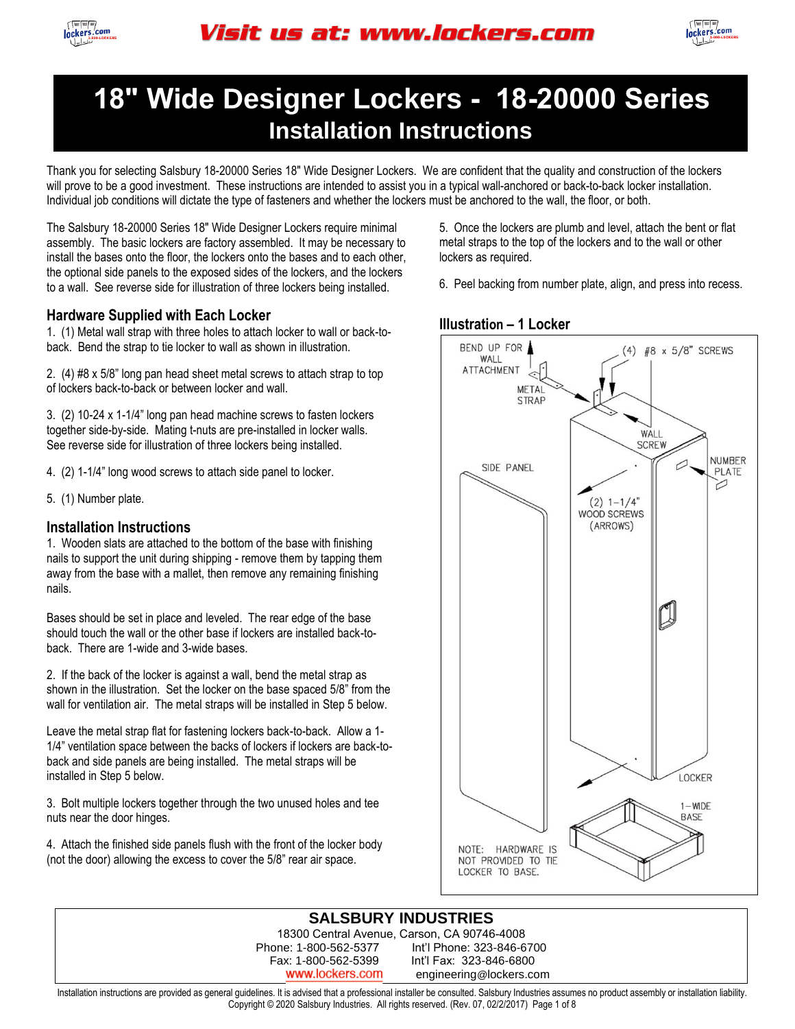



Thank you for selecting Salsbury 18-20000 Series 18" Wide Designer Lockers. We are confident that the quality and construction of the lockers will prove to be a good investment. These instructions are intended to assist you in a typical wall-anchored or back-to-back locker installation. Individual job conditions will dictate the type of fasteners and whether the lockers must be anchored to the wall, the floor, or both.

The Salsbury 18-20000 Series 18" Wide Designer Lockers require minimal assembly. The basic lockers are factory assembled. It may be necessary to install the bases onto the floor, the lockers onto the bases and to each other, the optional side panels to the exposed sides of the lockers, and the lockers to a wall. See reverse side for illustration of three lockers being installed.

#### **Hardware Supplied with Each Locker**

1. (1) Metal wall strap with three holes to attach locker to wall or back-toback. Bend the strap to tie locker to wall as shown in illustration.

2. (4) #8 x 5/8" long pan head sheet metal screws to attach strap to top of lockers back-to-back or between locker and wall.

3. (2) 10-24 x 1-1/4" long pan head machine screws to fasten lockers together side-by-side. Mating t-nuts are pre-installed in locker walls. See reverse side for illustration of three lockers being installed.

4. (2) 1-1/4" long wood screws to attach side panel to locker.

5. (1) Number plate.

#### **Installation Instructions**

1. Wooden slats are attached to the bottom of the base with finishing nails to support the unit during shipping - remove them by tapping them away from the base with a mallet, then remove any remaining finishing nails.

Bases should be set in place and leveled. The rear edge of the base should touch the wall or the other base if lockers are installed back-toback. There are 1-wide and 3-wide bases.

2. If the back of the locker is against a wall, bend the metal strap as shown in the illustration. Set the locker on the base spaced 5/8" from the wall for ventilation air. The metal straps will be installed in Step 5 below.

Leave the metal strap flat for fastening lockers back-to-back. Allow a 1- 1/4" ventilation space between the backs of lockers if lockers are back-toback and side panels are being installed. The metal straps will be installed in Step 5 below.

3. Bolt multiple lockers together through the two unused holes and tee nuts near the door hinges.

4. Attach the finished side panels flush with the front of the locker body (not the door) allowing the excess to cover the 5/8" rear air space.

5. Once the lockers are plumb and level, attach the bent or flat metal straps to the top of the lockers and to the wall or other lockers as required.

6. Peel backing from number plate, align, and press into recess.



### **SALSBURY INDUSTRIES**

18300 Central Avenue, Carson, CA 90746-4008 Phone: 1-800-562-5377 Int'l Phone: 323-846-6700 Fax: 1-800-562-5399 Int'l Fax: 323-846-6800

www.lockers.com engineering@lockers.com

Installation instructions are provided as general guidelines. It is advised that a professional installer be consulted. Salsbury Industries assumes no product assembly or installation liability. Copyright © 2020 Salsbury Industries. All rights reserved. (Rev. 07, 02/2/2017) Page 1 of 8

#### **Illustration – 1 Locker**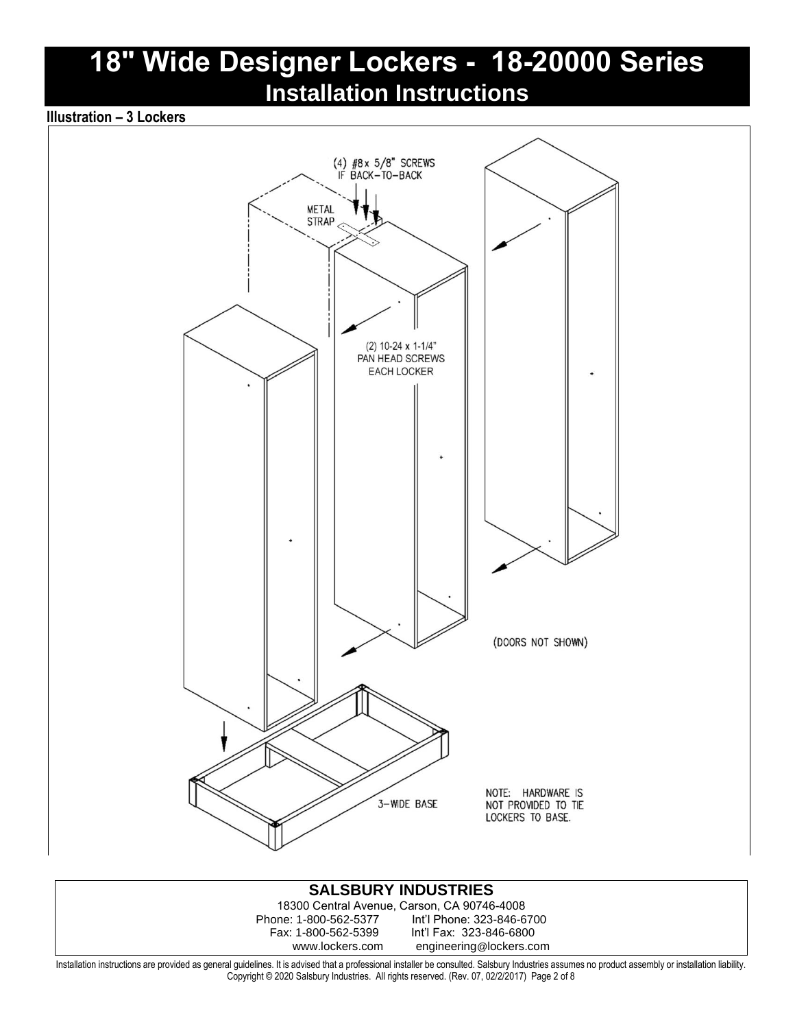### **Illustration – 3 Lockers**



#### **SALSBURY INDUSTRIES** 18300 Central Avenue, Carson, CA 90746-4008 Phone: 1-800-562-5377 Int'l Phone: 323-846-6700 Int'l Fax: 323-846-6800 www.lockers.com engineering@lockers.com Installation instructions are provided as general guidelines. It is advised that a professional installer be consulted. Salsbury Industries assumes no product assembly or installation liability.

Copyright © 2020 Salsbury Industries. All rights reserved. (Rev. 07, 02/2/2017) Page 2 of 8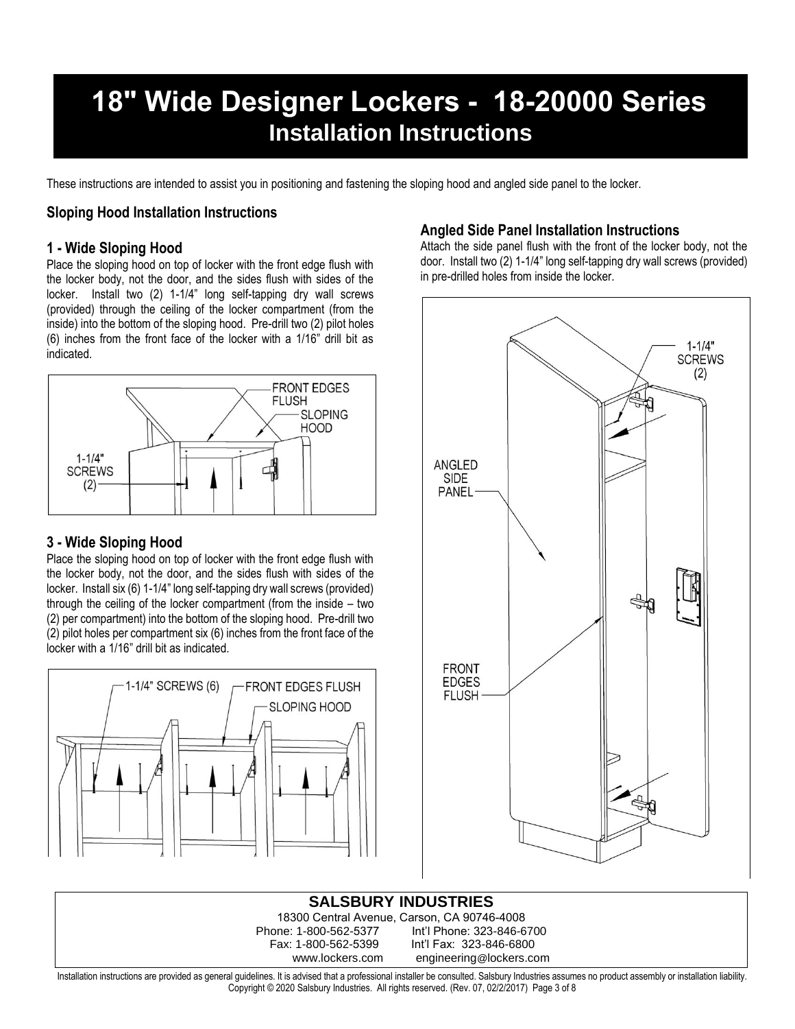These instructions are intended to assist you in positioning and fastening the sloping hood and angled side panel to the locker.

#### **Sloping Hood Installation Instructions**

#### **1 - Wide Sloping Hood**

Place the sloping hood on top of locker with the front edge flush with the locker body, not the door, and the sides flush with sides of the locker. Install two (2) 1-1/4" long self-tapping dry wall screws (provided) through the ceiling of the locker compartment (from the inside) into the bottom of the sloping hood. Pre-drill two (2) pilot holes (6) inches from the front face of the locker with a 1/16" drill bit as indicated.



### **3 - Wide Sloping Hood**

Place the sloping hood on top of locker with the front edge flush with the locker body, not the door, and the sides flush with sides of the locker. Install six (6) 1-1/4" long self-tapping dry wall screws (provided) through the ceiling of the locker compartment (from the inside – two (2) per compartment) into the bottom of the sloping hood. Pre-drill two (2) pilot holes per compartment six (6) inches from the front face of the locker with a 1/16" drill bit as indicated.



### **Angled Side Panel Installation Instructions**

Attach the side panel flush with the front of the locker body, not the door. Install two (2) 1-1/4" long self-tapping dry wall screws (provided) in pre-drilled holes from inside the locker.



**SALSBURY INDUSTRIES** 18300 Central Avenue, Carson, CA 90746-4008 one: 1-800-562-5377 Int'l Phone: 323-846-6700<br>Fax: 1-800-562-5399 Int'l Fax: 323-846-6800 Int'l Fax: 323-846-6800 www.lockers.com engineering@lockers.com

Installation instructions are provided as general guidelines. It is advised that a professional installer be consulted. Salsbury Industries assumes no product assembly or installation liability. Copyright © 2020 Salsbury Industries. All rights reserved. (Rev. 07, 02/2/2017) Page 3 of 8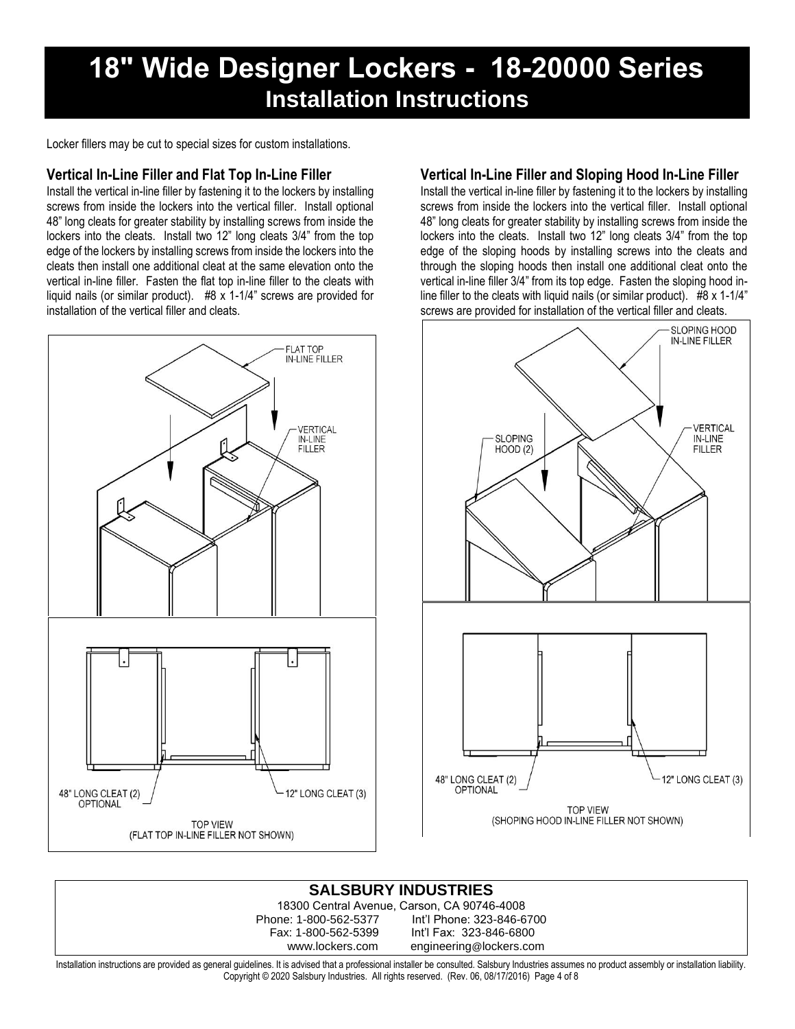Locker fillers may be cut to special sizes for custom installations.

### **Vertical In-Line Filler and Flat Top In-Line Filler**

Install the vertical in-line filler by fastening it to the lockers by installing screws from inside the lockers into the vertical filler. Install optional 48" long cleats for greater stability by installing screws from inside the lockers into the cleats. Install two 12" long cleats 3/4" from the top edge of the lockers by installing screws from inside the lockers into the cleats then install one additional cleat at the same elevation onto the vertical in-line filler. Fasten the flat top in-line filler to the cleats with liquid nails (or similar product). #8 x 1-1/4" screws are provided for installation of the vertical filler and cleats.



### **Vertical In-Line Filler and Sloping Hood In-Line Filler**

Install the vertical in-line filler by fastening it to the lockers by installing screws from inside the lockers into the vertical filler. Install optional 48" long cleats for greater stability by installing screws from inside the lockers into the cleats. Install two 12" long cleats 3/4" from the top edge of the sloping hoods by installing screws into the cleats and through the sloping hoods then install one additional cleat onto the vertical in-line filler 3/4" from its top edge. Fasten the sloping hood inline filler to the cleats with liquid nails (or similar product). #8 x 1-1/4" screws are provided for installation of the vertical filler and cleats.



### **SALSBURY INDUSTRIES**

18300 Central Avenue, Carson, CA 90746-4008 Phone: 1-800-562-5377 Int'l Phone: 323-846-6700 Fax: 1-800-562-5399 Int'l Fax: 323-846-6800 www.lockers.com engineering@lockers.com

Installation instructions are provided as general guidelines. It is advised that a professional installer be consulted. Salsbury Industries assumes no product assembly or installation liability. Copyright © 2020 Salsbury Industries. All rights reserved. (Rev. 06, 08/17/2016) Page 4 of 8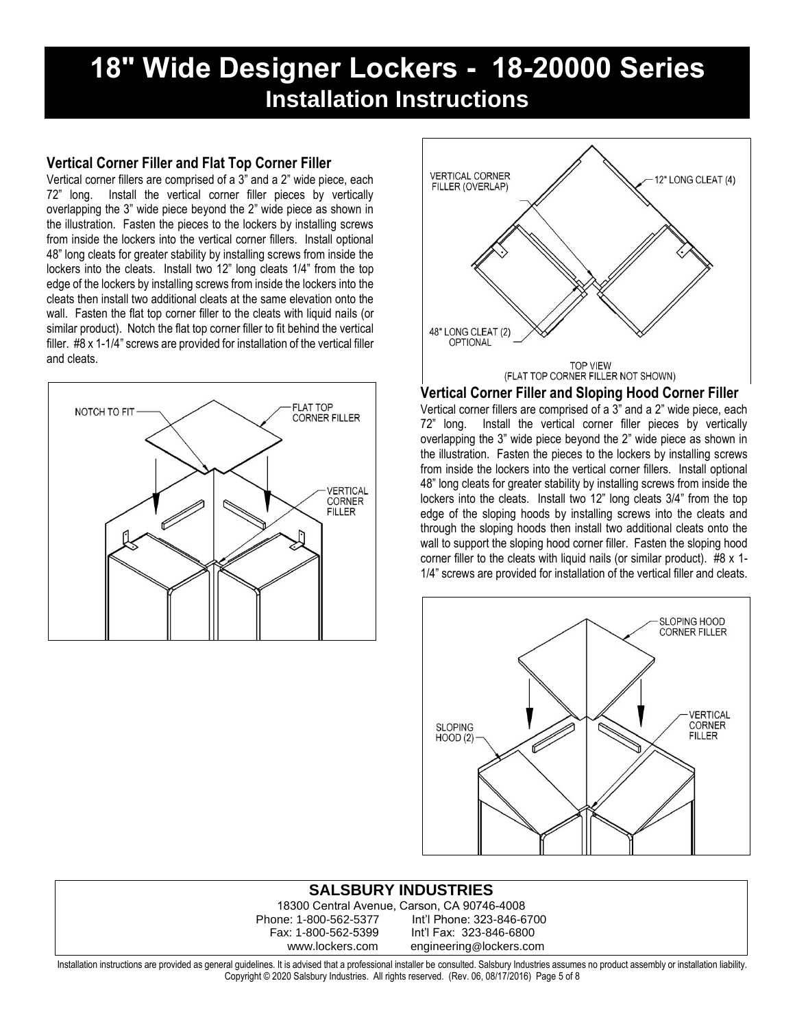### **Vertical Corner Filler and Flat Top Corner Filler**

Vertical corner fillers are comprised of a 3" and a 2" wide piece, each 72" long. Install the vertical corner filler pieces by vertically overlapping the 3" wide piece beyond the 2" wide piece as shown in the illustration. Fasten the pieces to the lockers by installing screws from inside the lockers into the vertical corner fillers. Install optional 48" long cleats for greater stability by installing screws from inside the lockers into the cleats. Install two 12" long cleats 1/4" from the top edge of the lockers by installing screws from inside the lockers into the cleats then install two additional cleats at the same elevation onto the wall. Fasten the flat top corner filler to the cleats with liquid nails (or similar product). Notch the flat top corner filler to fit behind the vertical filler. #8 x 1-1/4" screws are provided for installation of the vertical filler and cleats.





#### **Vertical Corner Filler and Sloping Hood Corner Filler**

Vertical corner fillers are comprised of a 3" and a 2" wide piece, each 72" long. Install the vertical corner filler pieces by vertically overlapping the 3" wide piece beyond the 2" wide piece as shown in the illustration. Fasten the pieces to the lockers by installing screws from inside the lockers into the vertical corner fillers. Install optional 48" long cleats for greater stability by installing screws from inside the lockers into the cleats. Install two 12" long cleats 3/4" from the top edge of the sloping hoods by installing screws into the cleats and through the sloping hoods then install two additional cleats onto the wall to support the sloping hood corner filler. Fasten the sloping hood corner filler to the cleats with liquid nails (or similar product). #8 x 1- 1/4" screws are provided for installation of the vertical filler and cleats.



### **SALSBURY INDUSTRIES**

18300 Central Avenue, Carson, CA 90746-4008 Phone: 1-800-562-5377 Int'l Phone: 323-846-6700 Fax: 1-800-562-5399 Int'l Fax: 323-846-6800 www.lockers.com engineering@lockers.com

Installation instructions are provided as general guidelines. It is advised that a professional installer be consulted. Salsbury Industries assumes no product assembly or installation liability. Copyright © 2020 Salsbury Industries. All rights reserved. (Rev. 06, 08/17/2016) Page 5 of 8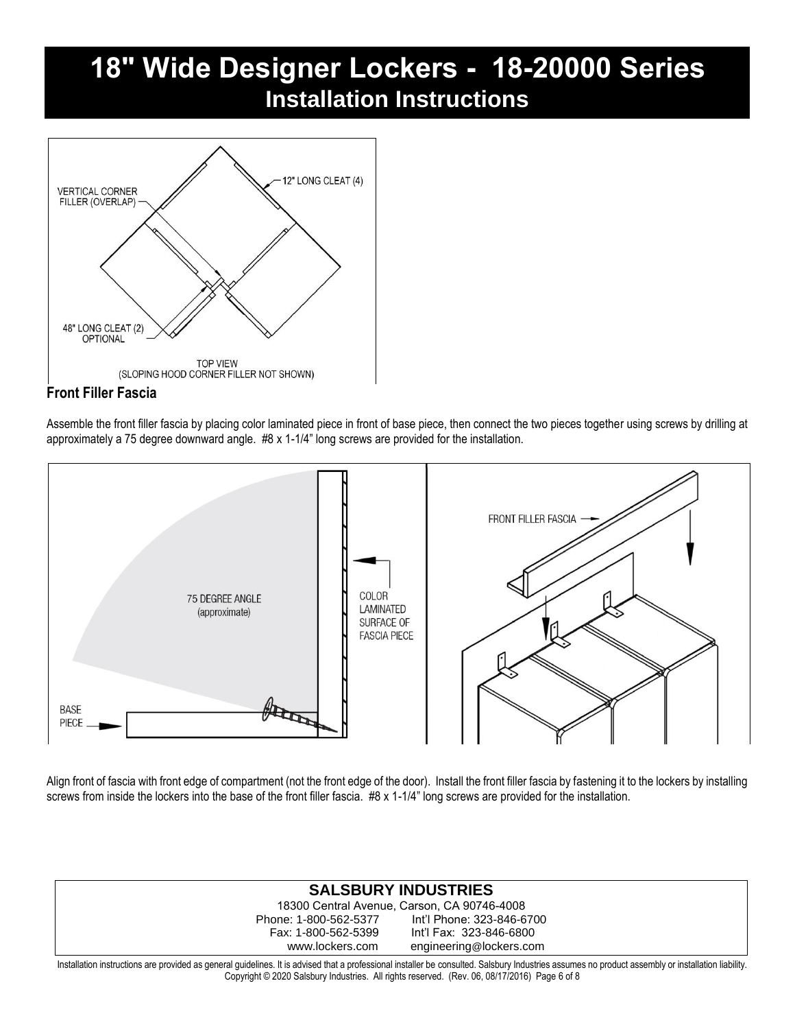

### **Front Filler Fascia**

Assemble the front filler fascia by placing color laminated piece in front of base piece, then connect the two pieces together using screws by drilling at approximately a 75 degree downward angle. #8 x 1-1/4" long screws are provided for the installation.



Align front of fascia with front edge of compartment (not the front edge of the door). Install the front filler fascia by fastening it to the lockers by installing screws from inside the lockers into the base of the front filler fascia. #8 x 1-1/4" long screws are provided for the installation.

### **SALSBURY INDUSTRIES**

18300 Central Avenue, Carson, CA 90746-4008 Phone: 1-800-562-5377 Int'l Phone: 323-846-6700 Int'l Fax: 323-846-6800 www.lockers.com engineering@lockers.com

Installation instructions are provided as general guidelines. It is advised that a professional installer be consulted. Salsbury Industries assumes no product assembly or installation liability. Copyright © 2020 Salsbury Industries. All rights reserved. (Rev. 06, 08/17/2016) Page 6 of 8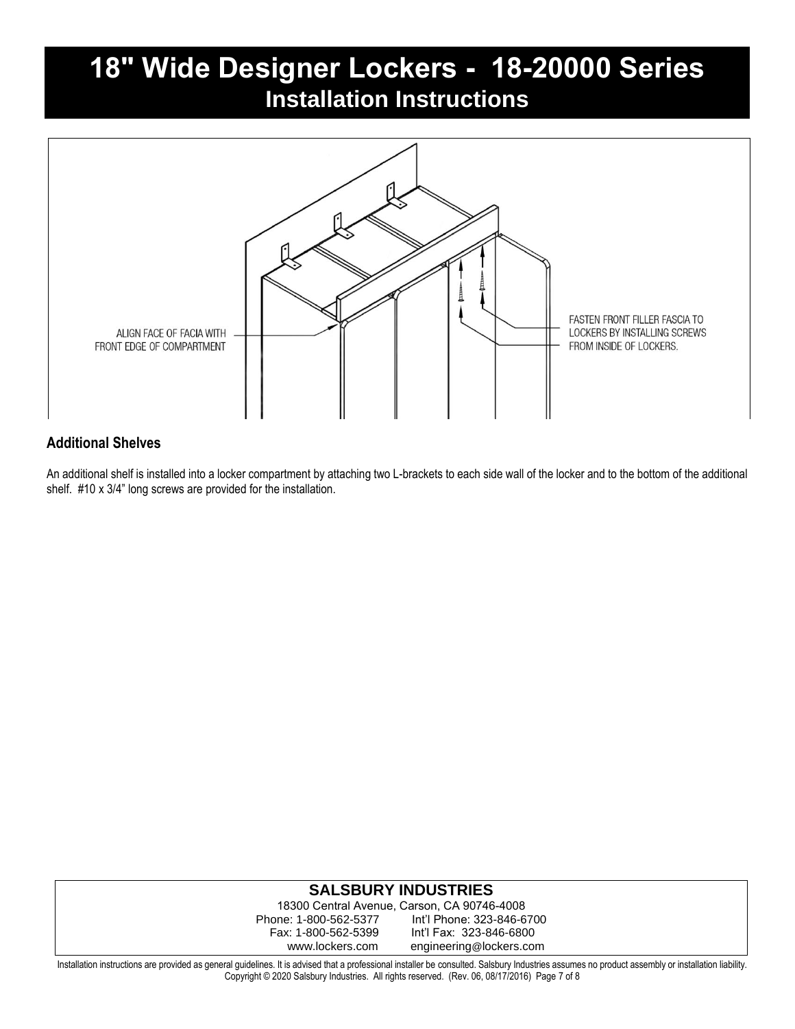

### **Additional Shelves**

An additional shelf is installed into a locker compartment by attaching two L-brackets to each side wall of the locker and to the bottom of the additional shelf. #10 x 3/4" long screws are provided for the installation.

### **SALSBURY INDUSTRIES**

18300 Central Avenue, Carson, CA 90746-4008 Phone: 1-800-562-5377 Int'l Phone: 323-846-6700 Fax: 1-800-562-5399 Int'l Fax: 323-846-6800 www.lockers.com engineering@lockers.com

Installation instructions are provided as general guidelines. It is advised that a professional installer be consulted. Salsbury Industries assumes no product assembly or installation liability. Copyright © 2020 Salsbury Industries. All rights reserved. (Rev. 06, 08/17/2016) Page 7 of 8